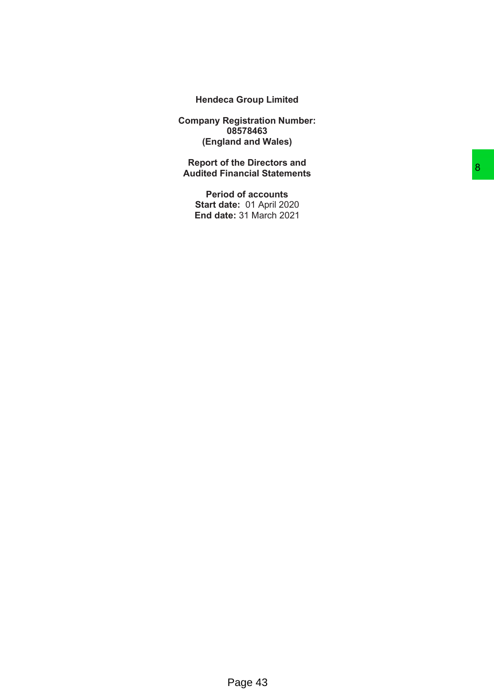# **Hendeca Group Limited**

**Company Registration Number: 08578463 (England and Wales)** 

**Report of the Directors and Audited Financial Statements** 

**Period of accounts Start date:** 01 April 2020 **End date:** 31 March 2021 nancial Statements<br>
anacial Statements<br>
d of accounts<br>
te: 01 April 2020<br>
e: 31 March 2021<br>
Page 43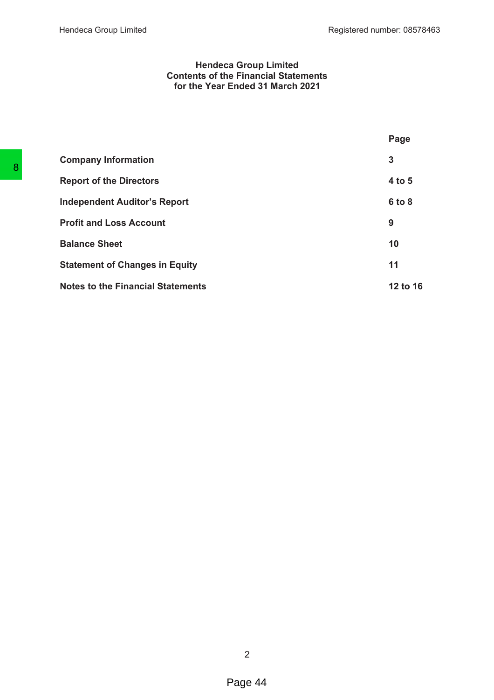|   |                                          |                | Page           |
|---|------------------------------------------|----------------|----------------|
| 8 | <b>Company Information</b>               |                | $\overline{3}$ |
|   | <b>Report of the Directors</b>           |                | $4$ to $5$     |
|   | <b>Independent Auditor's Report</b>      |                | 6 to 8         |
|   | <b>Profit and Loss Account</b>           |                | 9              |
|   | <b>Balance Sheet</b>                     |                | 10             |
|   | <b>Statement of Changes in Equity</b>    |                | 11             |
|   | <b>Notes to the Financial Statements</b> |                | 12 to 16       |
|   |                                          |                |                |
|   |                                          |                |                |
|   |                                          |                |                |
|   |                                          |                |                |
|   |                                          |                |                |
|   |                                          |                |                |
|   |                                          |                |                |
|   |                                          |                |                |
|   |                                          |                |                |
|   |                                          |                |                |
|   |                                          |                |                |
|   |                                          |                |                |
|   |                                          |                |                |
|   |                                          |                |                |
|   |                                          |                |                |
|   |                                          |                |                |
|   |                                          | $\overline{2}$ |                |
|   |                                          |                |                |
|   |                                          | Page 44        |                |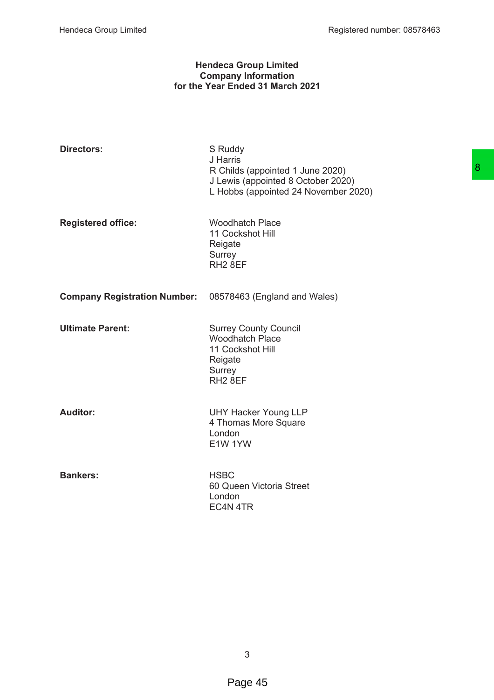## **Hendeca Group Limited Company Information for the Year Ended 31 March 2021**

| <b>Directors:</b>                                                | S Ruddy<br>J Harris<br>8<br>R Childs (appointed 1 June 2020)<br>J Lewis (appointed 8 October 2020)<br>L Hobbs (appointed 24 November 2020) |
|------------------------------------------------------------------|--------------------------------------------------------------------------------------------------------------------------------------------|
| <b>Registered office:</b>                                        | <b>Woodhatch Place</b><br>11 Cockshot Hill<br>Reigate<br>Surrey<br>RH <sub>2</sub> 8EF                                                     |
| <b>Company Registration Number:</b> 08578463 (England and Wales) |                                                                                                                                            |
| <b>Ultimate Parent:</b>                                          | <b>Surrey County Council</b><br><b>Woodhatch Place</b><br>11 Cockshot Hill<br>Reigate<br>Surrey<br>RH <sub>2</sub> 8EF                     |
| <b>Auditor:</b>                                                  | <b>UHY Hacker Young LLP</b><br>4 Thomas More Square<br>London<br>E1W 1YW                                                                   |
| <b>Bankers:</b>                                                  | <b>HSBC</b><br>60 Queen Victoria Street<br>London<br>EC4N 4TR                                                                              |
|                                                                  |                                                                                                                                            |
|                                                                  | $\ensuremath{\mathsf{3}}$                                                                                                                  |
|                                                                  | Page 45                                                                                                                                    |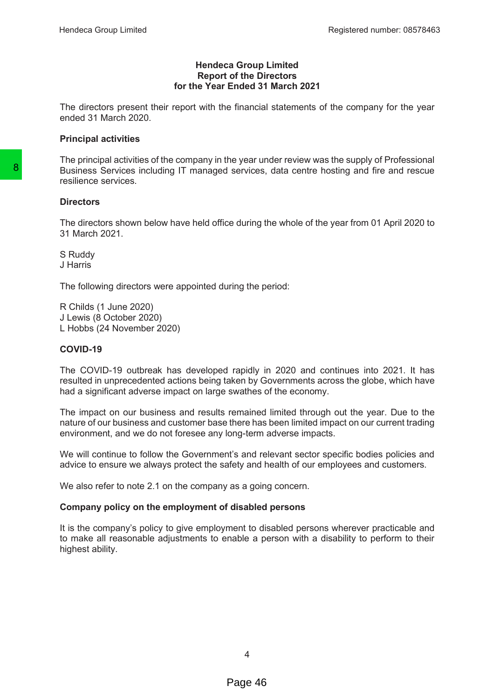### **Hendeca Group Limited Report of the Directors for the Year Ended 31 March 2021**

The directors present their report with the financial statements of the company for the year ended 31 March 2020.

## **Principal activities**

The principal activities of the company in the year under review was the supply of Professional Business Services including IT managed services, data centre hosting and fire and rescue resilience services.

## **Directors**

The directors shown below have held office during the whole of the year from 01 April 2020 to 31 March 2021.

S Ruddy J Harris

The following directors were appointed during the period:

R Childs (1 June 2020) J Lewis (8 October 2020) L Hobbs (24 November 2020)

## **COVID-19**

The COVID-19 outbreak has developed rapidly in 2020 and continues into 2021. It has resulted in unprecedented actions being taken by Governments across the globe, which have had a significant adverse impact on large swathes of the economy.

The impact on our business and results remained limited through out the year. Due to the nature of our business and customer base there has been limited impact on our current trading environment, and we do not foresee any long-term adverse impacts.

We will continue to follow the Government's and relevant sector specific bodies policies and advice to ensure we always protect the safety and health of our employees and customers.

We also refer to note 2.1 on the company as a going concern.

## **Company policy on the employment of disabled persons**

It is the company's policy to give employment to disabled persons wherever practicable and to make all reasonable adjustments to enable a person with a disability to perform to their highest ability. **B**<br>
Business Services including IT managed services,<br>
resilience services.<br>
Directors<br>
The directors shown below have held office during the<br>
The directors shown below have held office during the<br>
31 March 2021.<br>
S Ruddy<br>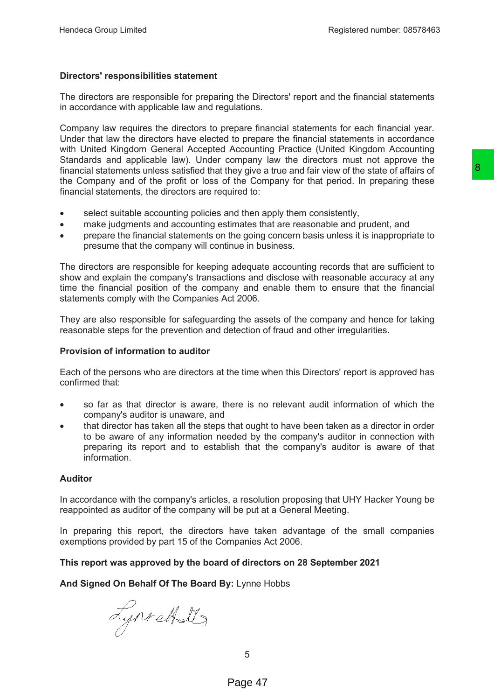# **Directors' responsibilities statement**

The directors are responsible for preparing the Directors' report and the financial statements in accordance with applicable law and regulations.

Company law requires the directors to prepare financial statements for each financial year. Under that law the directors have elected to prepare the financial statements in accordance with United Kingdom General Accepted Accounting Practice (United Kingdom Accounting Standards and applicable law). Under company law the directors must not approve the financial statements unless satisfied that they give a true and fair view of the state of affairs of the Company and of the profit or loss of the Company for that period. In preparing these financial statements, the directors are required to:

- · select suitable accounting policies and then apply them consistently,
- · make judgments and accounting estimates that are reasonable and prudent, and
- · prepare the financial statements on the going concern basis unless it is inappropriate to presume that the company will continue in business.

The directors are responsible for keeping adequate accounting records that are sufficient to show and explain the company's transactions and disclose with reasonable accuracy at any time the financial position of the company and enable them to ensure that the financial statements comply with the Companies Act 2006. they give a frue and fair view of the state of affairs of **8**<br>the Company for that period. In preparing these direct to:<br>direct to:<br>nurtheres that are reasonable and prudent, and<br>timedes that are reasonable and prudent, an

They are also responsible for safeguarding the assets of the company and hence for taking reasonable steps for the prevention and detection of fraud and other irregularities.

## **Provision of information to auditor**

Each of the persons who are directors at the time when this Directors' report is approved has confirmed that:

- so far as that director is aware, there is no relevant audit information of which the company's auditor is unaware, and
- · that director has taken all the steps that ought to have been taken as a director in order to be aware of any information needed by the company's auditor in connection with preparing its report and to establish that the company's auditor is aware of that information.

## **Auditor**

In accordance with the company's articles, a resolution proposing that UHY Hacker Young be reappointed as auditor of the company will be put at a General Meeting.

In preparing this report, the directors have taken advantage of the small companies exemptions provided by part 15 of the Companies Act 2006.

## **This report was approved by the board of directors on 28 September 2021**

**And Signed On Behalf Of The Board By:** Lynne Hobbs

Lynnetfalls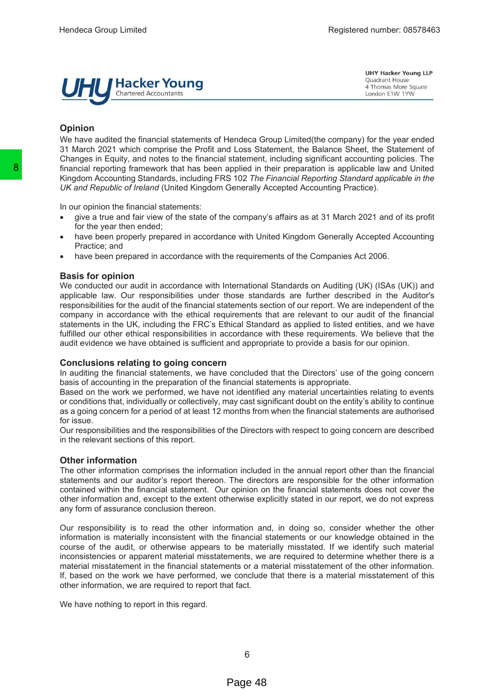

**UHY Hacker Young LLP** Quadrant House 4 Thomas More Square London E1W 1YW

### **Opinion**

We have audited the financial statements of Hendeca Group Limited(the company) for the year ended 31 March 2021 which comprise the Profit and Loss Statement, the Balance Sheet, the Statement of Changes in Equity, and notes to the financial statement, including significant accounting policies. The financial reporting framework that has been applied in their preparation is applicable law and United Kingdom Accounting Standards, including FRS 102 *The Financial Reporting Standard applicable in the UK and Republic of Ireland* (United Kingdom Generally Accepted Accounting Practice).

In our opinion the financial statements:

- · give a true and fair view of the state of the company's affairs as at 31 March 2021 and of its profit for the year then ended;
- have been properly prepared in accordance with United Kingdom Generally Accepted Accounting Practice; and
- have been prepared in accordance with the requirements of the Companies Act 2006.

### **Basis for opinion**

We conducted our audit in accordance with International Standards on Auditing (UK) (ISAs (UK)) and applicable law. Our responsibilities under those standards are further described in the Auditor's responsibilities for the audit of the financial statements section of our report. We are independent of the company in accordance with the ethical requirements that are relevant to our audit of the financial statements in the UK, including the FRC's Ethical Standard as applied to listed entities, and we have fulfilled our other ethical responsibilities in accordance with these requirements. We believe that the audit evidence we have obtained is sufficient and appropriate to provide a basis for our opinion. **S**<br>**Ennancial reporting framework that has been applied in the financial report of the mass been applied in CIK and Republic of Instead (United Kingdom Generally** *A***<br>
In our opinion the financial statements:<br>
In the mass** 

### **Conclusions relating to going concern**

In auditing the financial statements, we have concluded that the Directors' use of the going concern basis of accounting in the preparation of the financial statements is appropriate.

Based on the work we performed, we have not identified any material uncertainties relating to events or conditions that, individually or collectively, may cast significant doubt on the entity's ability to continue as a going concern for a period of at least 12 months from when the financial statements are authorised for issue.

Our responsibilities and the responsibilities of the Directors with respect to going concern are described in the relevant sections of this report.

### **Other information**

The other information comprises the information included in the annual report other than the financial statements and our auditor's report thereon. The directors are responsible for the other information contained within the financial statement. Our opinion on the financial statements does not cover the other information and, except to the extent otherwise explicitly stated in our report, we do not express any form of assurance conclusion thereon.

Our responsibility is to read the other information and, in doing so, consider whether the other information is materially inconsistent with the financial statements or our knowledge obtained in the course of the audit, or otherwise appears to be materially misstated. If we identify such material inconsistencies or apparent material misstatements, we are required to determine whether there is a material misstatement in the financial statements or a material misstatement of the other information. If, based on the work we have performed, we conclude that there is a material misstatement of this other information, we are required to report that fact.

We have nothing to report in this regard.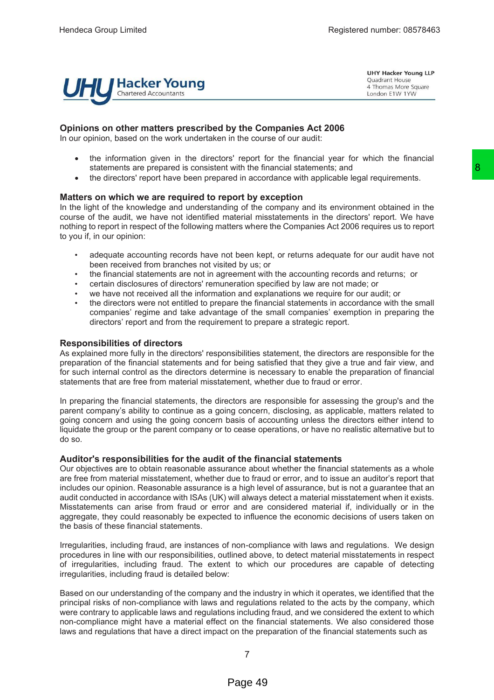

**UHY Hacker Young LLP** Quadrant House 4 Thomas More Square London E1W 1YW

## **Opinions on other matters prescribed by the Companies Act 2006**

In our opinion, based on the work undertaken in the course of our audit:

- the information given in the directors' report for the financial year for which the financial statements are prepared is consistent with the financial statements; and
- · the directors' report have been prepared in accordance with applicable legal requirements.

### **Matters on which we are required to report by exception**

In the light of the knowledge and understanding of the company and its environment obtained in the course of the audit, we have not identified material misstatements in the directors' report. We have nothing to report in respect of the following matters where the Companies Act 2006 requires us to report to you if, in our opinion:

- adequate accounting records have not been kept, or returns adequate for our audit have not been received from branches not visited by us; or
- the financial statements are not in agreement with the accounting records and returns; or
- certain disclosures of directors' remuneration specified by law are not made; or
- we have not received all the information and explanations we require for our audit; or
- the directors were not entitled to prepare the financial statements in accordance with the small companies' regime and take advantage of the small companies' exemption in preparing the directors' report and from the requirement to prepare a strategic report.

### **Responsibilities of directors**

As explained more fully in the directors' responsibilities statement, the directors are responsible for the preparation of the financial statements and for being satisfied that they give a true and fair view, and for such internal control as the directors determine is necessary to enable the preparation of financial statements that are free from material misstatement, whether due to fraud or error.

In preparing the financial statements, the directors are responsible for assessing the group's and the parent company's ability to continue as a going concern, disclosing, as applicable, matters related to going concern and using the going concern basis of accounting unless the directors either intend to liquidate the group or the parent company or to cease operations, or have no realistic alternative but to do so.

### **Auditor's responsibilities for the audit of the financial statements**

Our objectives are to obtain reasonable assurance about whether the financial statements as a whole are free from material misstatement, whether due to fraud or error, and to issue an auditor's report that includes our opinion. Reasonable assurance is a high level of assurance, but is not a guarantee that an audit conducted in accordance with ISAs (UK) will always detect a material misstatement when it exists. Misstatements can arise from fraud or error and are considered material if, individually or in the aggregate, they could reasonably be expected to influence the economic decisions of users taken on the basis of these financial statements. with the financial sattements; and<br>
indication accordance with applicable legal requirements.<br> **Bord by exception**<br> **port by exception**<br> **port by exception**<br> **port by exception**<br> **port by exception**<br> **atternal is the direc** 

Irregularities, including fraud, are instances of non-compliance with laws and regulations. We design procedures in line with our responsibilities, outlined above, to detect material misstatements in respect of irregularities, including fraud. The extent to which our procedures are capable of detecting irregularities, including fraud is detailed below:

Based on our understanding of the company and the industry in which it operates, we identified that the principal risks of non-compliance with laws and regulations related to the acts by the company, which were contrary to applicable laws and regulations including fraud, and we considered the extent to which non-compliance might have a material effect on the financial statements. We also considered those laws and regulations that have a direct impact on the preparation of the financial statements such as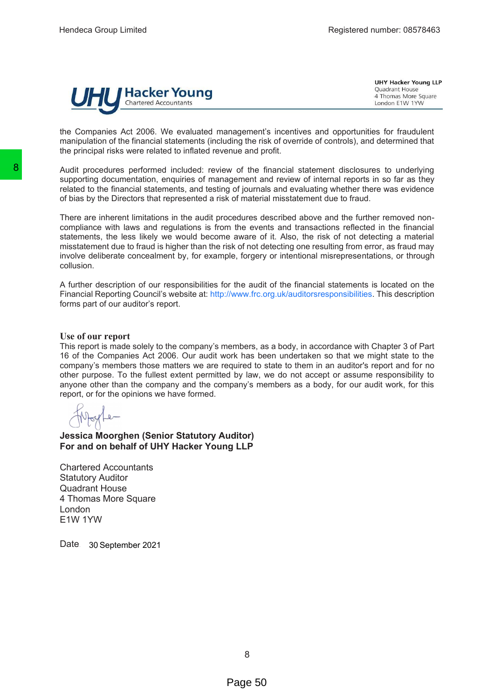

**UHY Hacker Young LLP** Quadrant House 4 Thomas More Square London E1W 1YW

the Companies Act 2006. We evaluated management's incentives and opportunities for fraudulent manipulation of the financial statements (including the risk of override of controls), and determined that the principal risks were related to inflated revenue and profit.

Audit procedures performed included: review of the financial statement disclosures to underlying supporting documentation, enquiries of management and review of internal reports in so far as they related to the financial statements, and testing of journals and evaluating whether there was evidence of bias by the Directors that represented a risk of material misstatement due to fraud.

There are inherent limitations in the audit procedures described above and the further removed noncompliance with laws and regulations is from the events and transactions reflected in the financial statements, the less likely we would become aware of it. Also, the risk of not detecting a material misstatement due to fraud is higher than the risk of not detecting one resulting from error, as fraud may involve deliberate concealment by, for example, forgery or intentional misrepresentations, or through collusion.

A further description of our responsibilities for the audit of the financial statements is located on the Financial Reporting Council's website at: http://www.frc.org.uk/auditorsresponsibilities. This description forms part of our auditor's report.

### **Use of our report**

This report is made solely to the company's members, as a body, in accordance with Chapter 3 of Part 16 of the Companies Act 2006. Our audit work has been undertaken so that we might state to the company's members those matters we are required to state to them in an auditor's report and for no other purpose. To the fullest extent permitted by law, we do not accept or assume responsibility to anyone other than the company and the company's members as a body, for our audit work, for this report, or for the opinions we have formed. **B**<br>And procedures performed included: review of the final<br>supporting documentation, enquiries of management are<br>related to the financial statements, and testing of journal<br>of others of the state of the precisions in the

**Jessica Moorghen (Senior Statutory Auditor) For and on behalf of UHY Hacker Young LLP**

Chartered Accountants Statutory Auditor Quadrant House 4 Thomas More Square London E1W 1YW

Date: 30 September 2021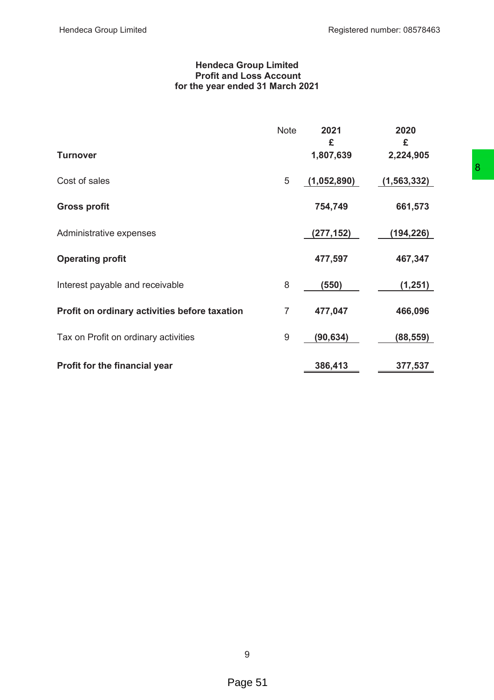## **Hendeca Group Limited Profit and Loss Account for the year ended 31 March 2021**

|                                               | Note             | 2021        | 2020          |   |
|-----------------------------------------------|------------------|-------------|---------------|---|
|                                               |                  | £           | £             |   |
| <b>Turnover</b>                               |                  | 1,807,639   | 2,224,905     | 8 |
| Cost of sales                                 | $\sqrt{5}$       | (1,052,890) | (1, 563, 332) |   |
| <b>Gross profit</b>                           |                  | 754,749     | 661,573       |   |
| Administrative expenses                       |                  | (277, 152)  | (194, 226)    |   |
| <b>Operating profit</b>                       |                  | 477,597     | 467,347       |   |
| Interest payable and receivable               | $\,8\,$          | (550)       | (1,251)       |   |
| Profit on ordinary activities before taxation | $\overline{7}$   | 477,047     | 466,096       |   |
| Tax on Profit on ordinary activities          | $\boldsymbol{9}$ | (90, 634)   | (88, 559)     |   |
| Profit for the financial year                 |                  | 386,413     | 377,537       |   |
|                                               |                  |             |               |   |
|                                               |                  |             |               |   |
| $\boldsymbol{9}$                              |                  |             |               |   |
| Page 51                                       |                  |             |               |   |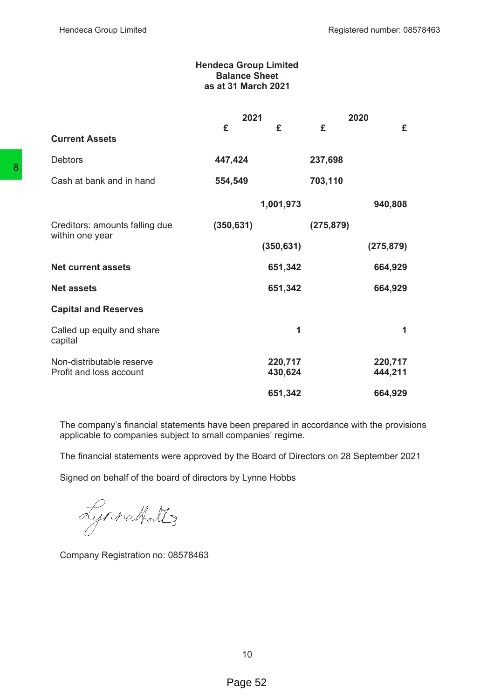# **Hendeca Group Limited Balance Sheet as at 31 March 2021**

|                                                                                                                                                                                                                                                                                                                                                             | 2021       |                    |            | 2020               |
|-------------------------------------------------------------------------------------------------------------------------------------------------------------------------------------------------------------------------------------------------------------------------------------------------------------------------------------------------------------|------------|--------------------|------------|--------------------|
| <b>Current Assets</b>                                                                                                                                                                                                                                                                                                                                       | £          | £                  | £          |                    |
| <b>Debtors</b>                                                                                                                                                                                                                                                                                                                                              | 447,424    |                    | 237,698    |                    |
| Cash at bank and in hand                                                                                                                                                                                                                                                                                                                                    | 554,549    |                    | 703,110    |                    |
|                                                                                                                                                                                                                                                                                                                                                             |            | 1,001,973          |            | 940,808            |
| Creditors: amounts falling due                                                                                                                                                                                                                                                                                                                              | (350, 631) |                    | (275, 879) |                    |
| within one year                                                                                                                                                                                                                                                                                                                                             |            | (350, 631)         |            | (275, 879)         |
| <b>Net current assets</b>                                                                                                                                                                                                                                                                                                                                   |            | 651,342            |            | 664,929            |
| <b>Net assets</b>                                                                                                                                                                                                                                                                                                                                           |            | 651,342            |            | 664,929            |
| <b>Capital and Reserves</b>                                                                                                                                                                                                                                                                                                                                 |            |                    |            |                    |
| Called up equity and share<br>capital                                                                                                                                                                                                                                                                                                                       |            | 1                  |            |                    |
| Non-distributable reserve<br>Profit and loss account                                                                                                                                                                                                                                                                                                        |            | 220,717<br>430,624 |            | 220,717<br>444,211 |
|                                                                                                                                                                                                                                                                                                                                                             |            | 651,342            |            | 664,929            |
| The company's financial statements have been prepared in accordance with the provisi<br>applicable to companies subject to small companies' regime.<br>The financial statements were approved by the Board of Directors on 28 September 20<br>Signed on behalf of the board of directors by Lynne Hobbs<br>Lynnethalls<br>Company Registration no: 08578463 |            |                    |            |                    |
|                                                                                                                                                                                                                                                                                                                                                             |            |                    |            |                    |
|                                                                                                                                                                                                                                                                                                                                                             | 10         |                    |            |                    |
|                                                                                                                                                                                                                                                                                                                                                             |            |                    |            |                    |

Company Registration no: 08578463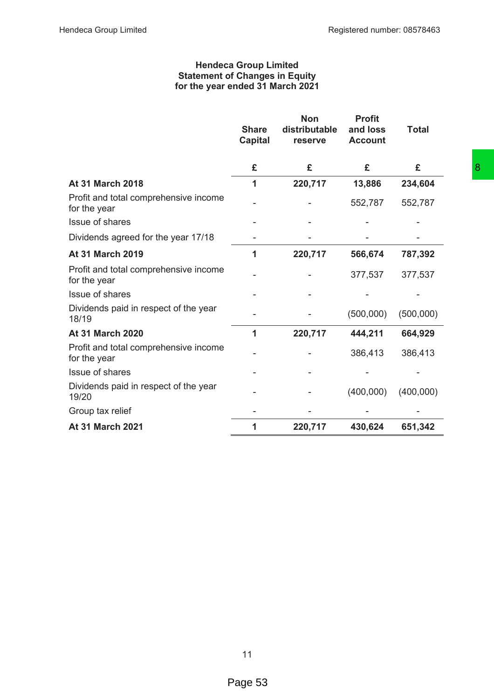## **Hendeca Group Limited Statement of Changes in Equity for the year ended 31 March 2021**

|                                                       | <b>Share</b><br><b>Capital</b> | <b>Non</b><br>distributable<br>reserve | <b>Profit</b><br>and loss<br><b>Account</b> | <b>Total</b> |
|-------------------------------------------------------|--------------------------------|----------------------------------------|---------------------------------------------|--------------|
|                                                       | £                              | £                                      | £                                           | £            |
| At 31 March 2018                                      | 1                              | 220,717                                | 13,886                                      | 234,604      |
| Profit and total comprehensive income<br>for the year |                                |                                        | 552,787                                     | 552,787      |
| Issue of shares                                       |                                |                                        |                                             |              |
| Dividends agreed for the year 17/18                   |                                |                                        |                                             |              |
| At 31 March 2019                                      | 1                              | 220,717                                | 566,674                                     | 787,392      |
| Profit and total comprehensive income<br>for the year |                                |                                        | 377,537                                     | 377,537      |
| Issue of shares                                       |                                |                                        |                                             |              |
| Dividends paid in respect of the year<br>18/19        |                                |                                        | (500,000)                                   | (500,000)    |
| At 31 March 2020                                      | 1                              | 220,717                                | 444,211                                     | 664,929      |
| Profit and total comprehensive income<br>for the year |                                |                                        | 386,413                                     | 386,413      |
| Issue of shares                                       |                                |                                        |                                             |              |
| Dividends paid in respect of the year<br>19/20        |                                |                                        | (400,000)                                   | (400,000)    |
| Group tax relief                                      |                                |                                        |                                             |              |
| At 31 March 2021                                      | 1                              | 220,717                                | 430,624                                     | 651,342      |
|                                                       |                                |                                        |                                             |              |
|                                                       |                                |                                        |                                             |              |
|                                                       |                                |                                        |                                             |              |
|                                                       |                                |                                        |                                             |              |
|                                                       |                                |                                        |                                             |              |
|                                                       |                                |                                        |                                             |              |
|                                                       |                                |                                        |                                             |              |
|                                                       | 11                             |                                        |                                             |              |
|                                                       |                                |                                        |                                             |              |
|                                                       | Page 53                        |                                        |                                             |              |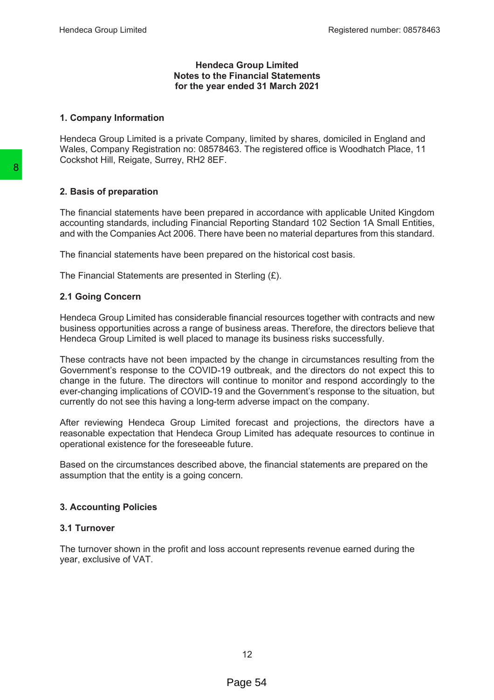## **1. Company Information**

Hendeca Group Limited is a private Company, limited by shares, domiciled in England and Wales, Company Registration no: 08578463. The registered office is Woodhatch Place, 11 Cockshot Hill, Reigate, Surrey, RH2 8EF.

# **2. Basis of preparation**

The financial statements have been prepared in accordance with applicable United Kingdom accounting standards, including Financial Reporting Standard 102 Section 1A Small Entities, and with the Companies Act 2006. There have been no material departures from this standard.

The financial statements have been prepared on the historical cost basis.

The Financial Statements are presented in Sterling (£).

## **2.1 Going Concern**

Hendeca Group Limited has considerable financial resources together with contracts and new business opportunities across a range of business areas. Therefore, the directors believe that Hendeca Group Limited is well placed to manage its business risks successfully.

These contracts have not been impacted by the change in circumstances resulting from the Government's response to the COVID-19 outbreak, and the directors do not expect this to change in the future. The directors will continue to monitor and respond accordingly to the ever-changing implications of COVID-19 and the Government's response to the situation, but currently do not see this having a long-term adverse impact on the company. **2. Basis of preparation**<br>
The financial statements have been prepared in accounting standards; including Financial Reporting and with the Companies Act 2006. There have been<br>
The financial statements have been prepared on

After reviewing Hendeca Group Limited forecast and projections, the directors have a reasonable expectation that Hendeca Group Limited has adequate resources to continue in operational existence for the foreseeable future.

Based on the circumstances described above, the financial statements are prepared on the assumption that the entity is a going concern.

## **3. Accounting Policies**

## **3.1 Turnover**

The turnover shown in the profit and loss account represents revenue earned during the year, exclusive of VAT.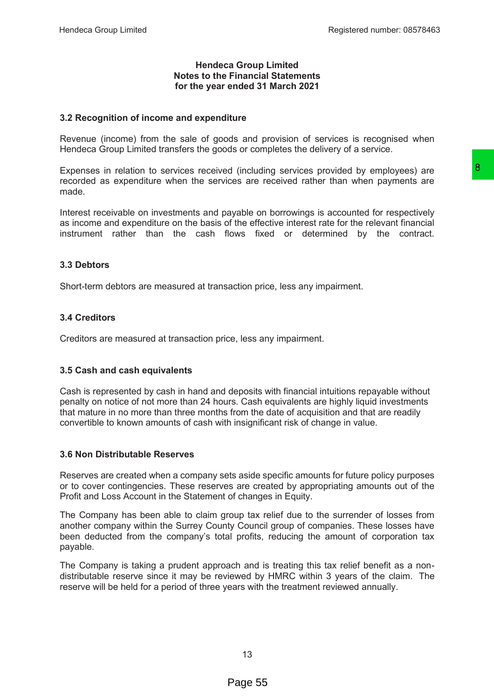## **3.2 Recognition of income and expenditure**

Revenue (income) from the sale of goods and provision of services is recognised when Hendeca Group Limited transfers the goods or completes the delivery of a service.

Expenses in relation to services received (including services provided by employees) are recorded as expenditure when the services are received rather than when payments are made.

Interest receivable on investments and payable on borrowings is accounted for respectively as income and expenditure on the basis of the effective interest rate for the relevant financial instrument rather than the cash flows fixed or determined by the contract.

## **3.3 Debtors**

Short-term debtors are measured at transaction price, less any impairment.

## **3.4 Creditors**

Creditors are measured at transaction price, less any impairment.

### **3.5 Cash and cash equivalents**

Cash is represented by cash in hand and deposits with financial intuitions repayable without penalty on notice of not more than 24 hours. Cash equivalents are highly liquid investments that mature in no more than three months from the date of acquisition and that are readily convertible to known amounts of cash with insignificant risk of change in value.

### **3.6 Non Distributable Reserves**

Reserves are created when a company sets aside specific amounts for future policy purposes or to cover contingencies. These reserves are created by appropriating amounts out of the Profit and Loss Account in the Statement of changes in Equity.

The Company has been able to claim group tax relief due to the surrender of losses from another company within the Surrey County Council group of companies. These losses have been deducted from the company's total profits, reducing the amount of corporation tax payable. d (including services provided by employees) are<br>ces are received rather than when payments are<br>ayable on borrowings is accounted for respectively<br>the effective interest rate for the relevant financial<br>lows fixed or determ

The Company is taking a prudent approach and is treating this tax relief benefit as a nondistributable reserve since it may be reviewed by HMRC within 3 years of the claim. The reserve will be held for a period of three years with the treatment reviewed annually.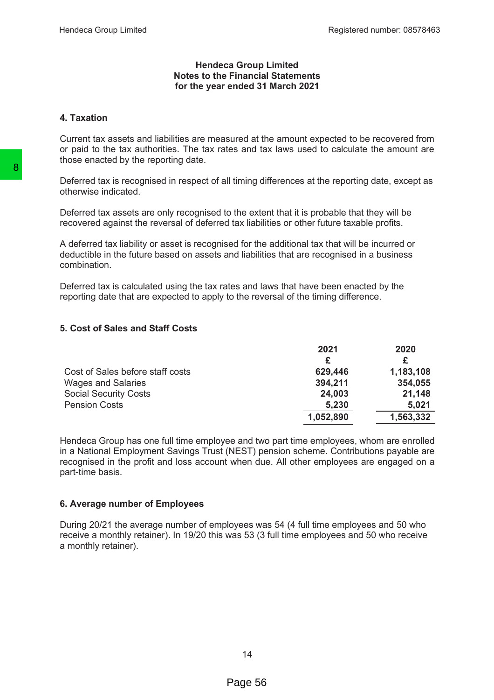## **4. Taxation**

Current tax assets and liabilities are measured at the amount expected to be recovered from or paid to the tax authorities. The tax rates and tax laws used to calculate the amount are those enacted by the reporting date.

## **5. Cost of Sales and Staff Costs**

| 8 |                                                                                                                                                                                                                                                                                                    |                                                    |                                                      |
|---|----------------------------------------------------------------------------------------------------------------------------------------------------------------------------------------------------------------------------------------------------------------------------------------------------|----------------------------------------------------|------------------------------------------------------|
|   | Deferred tax is recognised in respect of all timing differences at the reporting date, except as<br>otherwise indicated.                                                                                                                                                                           |                                                    |                                                      |
|   | Deferred tax assets are only recognised to the extent that it is probable that they will be<br>recovered against the reversal of deferred tax liabilities or other future taxable profits.                                                                                                         |                                                    |                                                      |
|   | A deferred tax liability or asset is recognised for the additional tax that will be incurred or<br>deductible in the future based on assets and liabilities that are recognised in a business<br>combination.                                                                                      |                                                    |                                                      |
|   | Deferred tax is calculated using the tax rates and laws that have been enacted by the<br>reporting date that are expected to apply to the reversal of the timing difference.                                                                                                                       |                                                    |                                                      |
|   | 5. Cost of Sales and Staff Costs                                                                                                                                                                                                                                                                   |                                                    |                                                      |
|   |                                                                                                                                                                                                                                                                                                    | 2021<br>£                                          | 2020<br>£                                            |
|   | Cost of Sales before staff costs<br><b>Wages and Salaries</b><br><b>Social Security Costs</b><br><b>Pension Costs</b>                                                                                                                                                                              | 629,446<br>394,211<br>24,003<br>5,230<br>1,052,890 | 1,183,108<br>354,055<br>21,148<br>5,021<br>1,563,332 |
|   | Hendeca Group has one full time employee and two part time employees, whom are enrolled<br>in a National Employment Savings Trust (NEST) pension scheme. Contributions payable are<br>recognised in the profit and loss account when due. All other employees are engaged on a<br>part-time basis. |                                                    |                                                      |
|   | 6. Average number of Employees                                                                                                                                                                                                                                                                     |                                                    |                                                      |
|   | During 20/21 the average number of employees was 54 (4 full time employees and 50 who<br>receive a monthly retainer). In 19/20 this was 53 (3 full time employees and 50 who receive<br>a monthly retainer).                                                                                       |                                                    |                                                      |
|   |                                                                                                                                                                                                                                                                                                    |                                                    |                                                      |
|   |                                                                                                                                                                                                                                                                                                    |                                                    |                                                      |
|   |                                                                                                                                                                                                                                                                                                    |                                                    |                                                      |
|   | 14                                                                                                                                                                                                                                                                                                 |                                                    |                                                      |
|   |                                                                                                                                                                                                                                                                                                    |                                                    |                                                      |

## **6. Average number of Employees**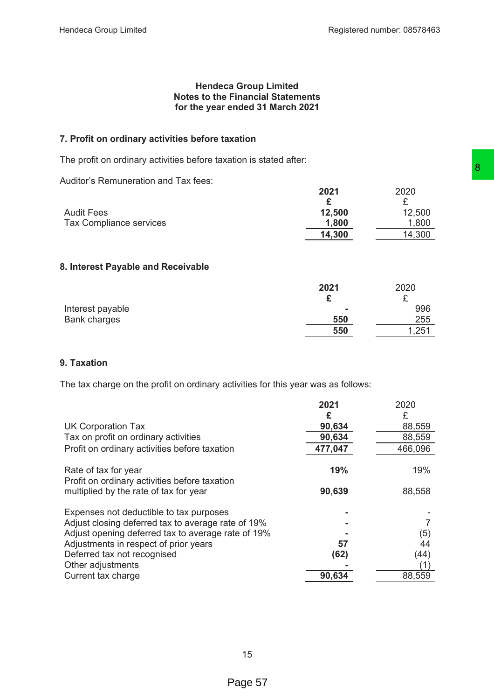# **7. Profit on ordinary activities before taxation**

The profit on ordinary activities before taxation is stated after:

|                                | 2021   | 2020   |
|--------------------------------|--------|--------|
|                                |        |        |
| <b>Audit Fees</b>              | 12,500 | 12,500 |
| <b>Tax Compliance services</b> | 1,800  | 1,800  |
|                                | 14,300 | 14,300 |

## **8. Interest Payable and Receivable**

|                  | 2021           | 2020 |
|------------------|----------------|------|
|                  |                |      |
| Interest payable | $\blacksquare$ | 996  |
| Bank charges     | 550            | 255  |
|                  | 550            | ,251 |

# **9. Taxation**

| Auditor's Remuneration and Tax fees:                                                                     |                 |                 |
|----------------------------------------------------------------------------------------------------------|-----------------|-----------------|
|                                                                                                          | 2021            | 2020            |
|                                                                                                          | £               | £               |
| <b>Audit Fees</b><br><b>Tax Compliance services</b>                                                      | 12,500<br>1,800 | 12,500<br>1,800 |
|                                                                                                          | 14,300          | 14,300          |
|                                                                                                          |                 |                 |
| 3. Interest Payable and Receivable                                                                       |                 |                 |
|                                                                                                          | 2021            | 2020            |
|                                                                                                          | £               | £               |
| Interest payable<br><b>Bank charges</b>                                                                  | 550             | 996<br>255      |
|                                                                                                          | 550             | 1,251           |
|                                                                                                          |                 |                 |
| <b>J. Taxation</b>                                                                                       |                 |                 |
| The tax charge on the profit on ordinary activities for this year was as follows:                        |                 |                 |
|                                                                                                          |                 |                 |
|                                                                                                          | 2021            | 2020            |
|                                                                                                          | £               | £               |
| <b>UK Corporation Tax</b>                                                                                | 90,634          | 88,559          |
| Tax on profit on ordinary activities                                                                     | 90,634          | 88,559          |
| Profit on ordinary activities before taxation                                                            | 477,047         | 466,096         |
|                                                                                                          |                 |                 |
| Rate of tax for year<br>Profit on ordinary activities before taxation                                    | 19%             | 19%             |
| multiplied by the rate of tax for year                                                                   | 90,639          | 88,558          |
|                                                                                                          |                 |                 |
| Expenses not deductible to tax purposes                                                                  |                 | 7               |
| Adjust closing deferred tax to average rate of 19%<br>Adjust opening deferred tax to average rate of 19% |                 |                 |
| Adjustments in respect of prior years                                                                    | 57              | (5)<br>44       |
| Deferred tax not recognised                                                                              | (62)            | (44)            |
| Other adjustments<br>Current tax charge                                                                  | 90,634          | (1)<br>88,559   |